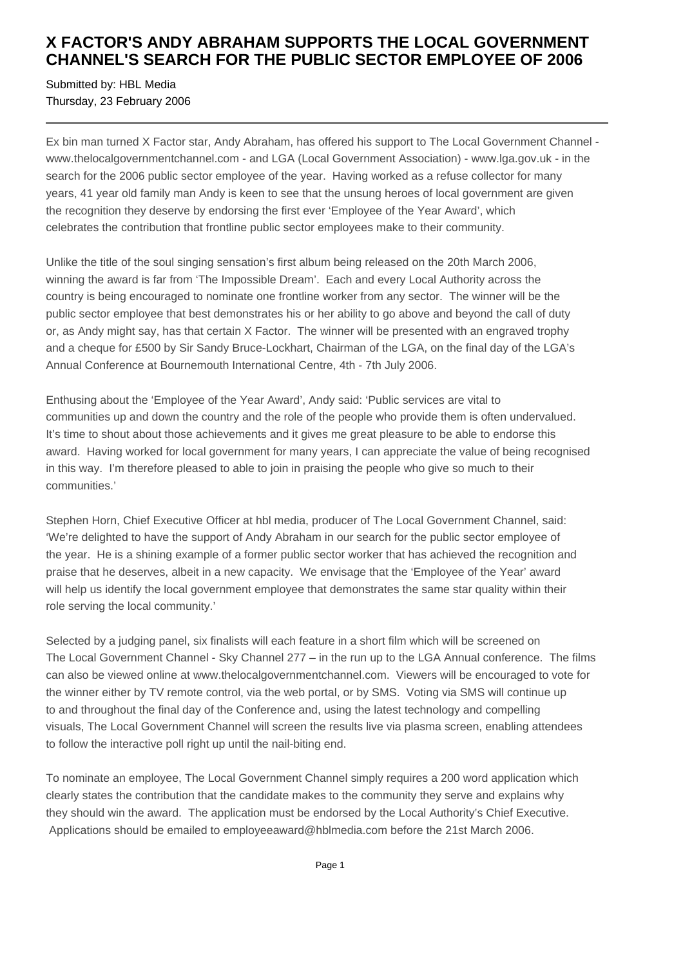## **X FACTOR'S ANDY ABRAHAM SUPPORTS THE LOCAL GOVERNMENT CHANNEL'S SEARCH FOR THE PUBLIC SECTOR EMPLOYEE OF 2006**

Submitted by: HBL Media Thursday, 23 February 2006

Ex bin man turned X Factor star, Andy Abraham, has offered his support to The Local Government Channel www.thelocalgovernmentchannel.com - and LGA (Local Government Association) - www.lga.gov.uk - in the search for the 2006 public sector employee of the year. Having worked as a refuse collector for many years, 41 year old family man Andy is keen to see that the unsung heroes of local government are given the recognition they deserve by endorsing the first ever 'Employee of the Year Award', which celebrates the contribution that frontline public sector employees make to their community.

Unlike the title of the soul singing sensation's first album being released on the 20th March 2006, winning the award is far from 'The Impossible Dream'. Each and every Local Authority across the country is being encouraged to nominate one frontline worker from any sector. The winner will be the public sector employee that best demonstrates his or her ability to go above and beyond the call of duty or, as Andy might say, has that certain X Factor. The winner will be presented with an engraved trophy and a cheque for £500 by Sir Sandy Bruce-Lockhart, Chairman of the LGA, on the final day of the LGA's Annual Conference at Bournemouth International Centre, 4th - 7th July 2006.

Enthusing about the 'Employee of the Year Award', Andy said: 'Public services are vital to communities up and down the country and the role of the people who provide them is often undervalued. It's time to shout about those achievements and it gives me great pleasure to be able to endorse this award. Having worked for local government for many years, I can appreciate the value of being recognised in this way. I'm therefore pleased to able to join in praising the people who give so much to their communities.'

Stephen Horn, Chief Executive Officer at hbl media, producer of The Local Government Channel, said: 'We're delighted to have the support of Andy Abraham in our search for the public sector employee of the year. He is a shining example of a former public sector worker that has achieved the recognition and praise that he deserves, albeit in a new capacity. We envisage that the 'Employee of the Year' award will help us identify the local government employee that demonstrates the same star quality within their role serving the local community.'

Selected by a judging panel, six finalists will each feature in a short film which will be screened on The Local Government Channel - Sky Channel 277 – in the run up to the LGA Annual conference. The films can also be viewed online at www.thelocalgovernmentchannel.com. Viewers will be encouraged to vote for the winner either by TV remote control, via the web portal, or by SMS. Voting via SMS will continue up to and throughout the final day of the Conference and, using the latest technology and compelling visuals, The Local Government Channel will screen the results live via plasma screen, enabling attendees to follow the interactive poll right up until the nail-biting end.

To nominate an employee, The Local Government Channel simply requires a 200 word application which clearly states the contribution that the candidate makes to the community they serve and explains why they should win the award. The application must be endorsed by the Local Authority's Chief Executive. Applications should be emailed to employeeaward@hblmedia.com before the 21st March 2006.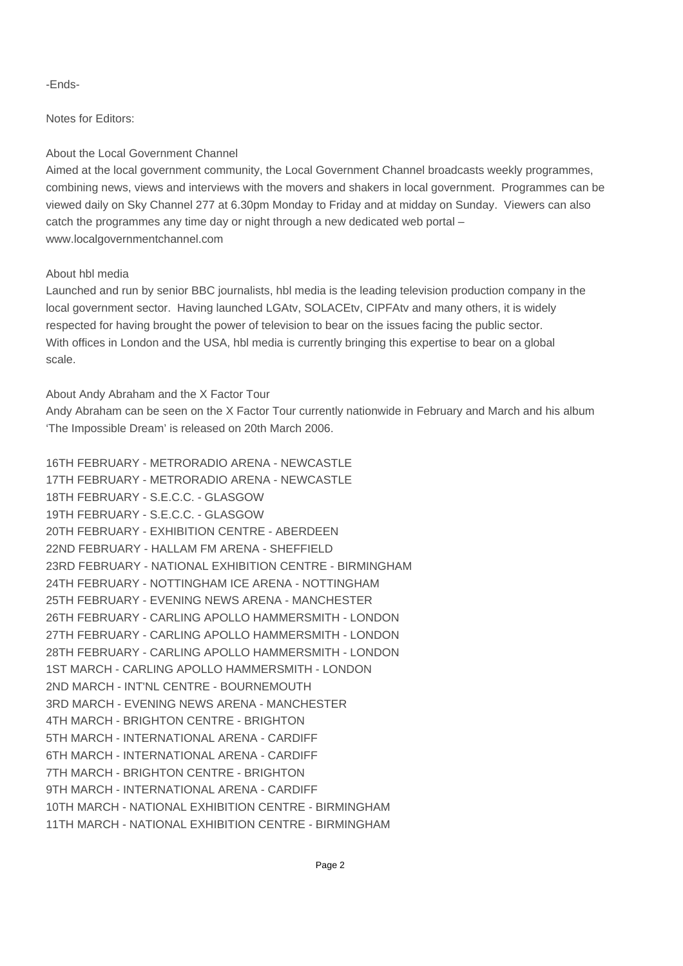-Ends-

Notes for Editors:

## About the Local Government Channel

Aimed at the local government community, the Local Government Channel broadcasts weekly programmes, combining news, views and interviews with the movers and shakers in local government. Programmes can be viewed daily on Sky Channel 277 at 6.30pm Monday to Friday and at midday on Sunday. Viewers can also catch the programmes any time day or night through a new dedicated web portal – www.localgovernmentchannel.com

## About hbl media

Launched and run by senior BBC journalists, hbl media is the leading television production company in the local government sector. Having launched LGAtv, SOLACEtv, CIPFAtv and many others, it is widely respected for having brought the power of television to bear on the issues facing the public sector. With offices in London and the USA, hbl media is currently bringing this expertise to bear on a global scale.

About Andy Abraham and the X Factor Tour

Andy Abraham can be seen on the X Factor Tour currently nationwide in February and March and his album 'The Impossible Dream' is released on 20th March 2006.

| 16TH FEBRUARY - METRORADIO ARENA - NEWCASTLE            |
|---------------------------------------------------------|
| 17TH FEBRUARY - METRORADIO ARENA - NEWCASTLE            |
| 18TH FEBRUARY - S.E.C.C. - GLASGOW                      |
| 19TH FEBRUARY - S.E.C.C. - GLASGOW                      |
| 20TH FEBRUARY - EXHIBITION CENTRE - ABERDEEN            |
| 22ND FEBRUARY - HALLAM FM ARENA - SHEFFIELD             |
| 23RD FEBRUARY - NATIONAL EXHIBITION CENTRE - BIRMINGHAM |
| 24TH FEBRUARY - NOTTINGHAM ICE ARENA - NOTTINGHAM       |
| 25TH FEBRUARY - EVENING NEWS ARENA - MANCHESTER         |
| 26TH FEBRUARY - CARLING APOLLO HAMMERSMITH - LONDON     |
| 27TH FEBRUARY - CARLING APOLLO HAMMERSMITH - LONDON     |
| 28TH FEBRUARY - CARLING APOLLO HAMMERSMITH - LONDON     |
| 1ST MARCH - CARLING APOLLO HAMMERSMITH - LONDON         |
| 2ND MARCH - INT'NL CENTRE - BOURNEMOUTH                 |
| 3RD MARCH - EVENING NEWS ARENA - MANCHESTER             |
| 4TH MARCH - BRIGHTON CENTRE - BRIGHTON                  |
| 5TH MARCH - INTERNATIONAL ARENA - CARDIFF               |
| 6TH MARCH - INTERNATIONAL ARENA - CARDIFF               |
| 7TH MARCH - BRIGHTON CENTRE - BRIGHTON                  |
| 9TH MARCH - INTERNATIONAL ARENA - CARDIFF               |
| 10TH MARCH - NATIONAL EXHIBITION CENTRE - BIRMINGHAM    |
| 11TH MARCH - NATIONAL EXHIBITION CENTRE - BIRMINGHAM    |
|                                                         |